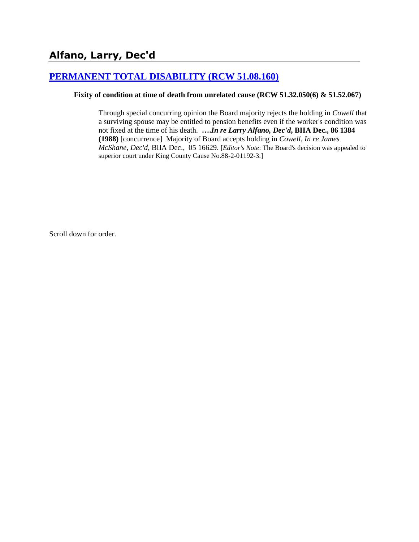# **[PERMANENT TOTAL DISABILITY \(RCW 51.08.160\)](http://www.biia.wa.gov/SDSubjectIndex.html#PERMANENT_TOTAL_DISABILITY)**

#### **Fixity of condition at time of death from unrelated cause (RCW 51.32.050(6) & 51.52.067)**

Through special concurring opinion the Board majority rejects the holding in *Cowell* that a surviving spouse may be entitled to pension benefits even if the worker's condition was not fixed at the time of his death. **….***In re Larry Alfano, Dec'd***, BIIA Dec., 86 1384 (1988)** [concurrence]Majority of Board accepts holding in *Cowell*, *In re James McShane, Dec'd*, BIIA Dec., 05 16629. [*Editor's Note*: The Board's decision was appealed to superior court under King County Cause No.88-2-01192-3.]

Scroll down for order.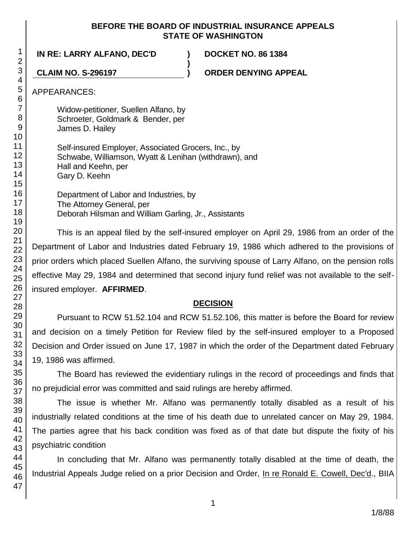#### **BEFORE THE BOARD OF INDUSTRIAL INSURANCE APPEALS STATE OF WASHINGTON**

**)**

**IN RE: LARRY ALFANO, DEC'D ) DOCKET NO. 86 1384**

**CLAIM NO. S-296197 ) ORDER DENYING APPEAL**

Widow-petitioner, Suellen Alfano, by Schroeter, Goldmark & Bender, per James D. Hailey

Self-insured Employer, Associated Grocers, Inc., by Schwabe, Williamson, Wyatt & Lenihan (withdrawn), and Hall and Keehn, per Gary D. Keehn

Department of Labor and Industries, by The Attorney General, per Deborah Hilsman and William Garling, Jr., Assistants

This is an appeal filed by the self-insured employer on April 29, 1986 from an order of the Department of Labor and Industries dated February 19, 1986 which adhered to the provisions of prior orders which placed Suellen Alfano, the surviving spouse of Larry Alfano, on the pension rolls effective May 29, 1984 and determined that second injury fund relief was not available to the selfinsured employer. **AFFIRMED**.

## **DECISION**

Pursuant to RCW 51.52.104 and RCW 51.52.106, this matter is before the Board for review and decision on a timely Petition for Review filed by the self-insured employer to a Proposed Decision and Order issued on June 17, 1987 in which the order of the Department dated February 19, 1986 was affirmed.

The Board has reviewed the evidentiary rulings in the record of proceedings and finds that no prejudicial error was committed and said rulings are hereby affirmed.

The issue is whether Mr. Alfano was permanently totally disabled as a result of his industrially related conditions at the time of his death due to unrelated cancer on May 29, 1984. The parties agree that his back condition was fixed as of that date but dispute the fixity of his psychiatric condition

In concluding that Mr. Alfano was permanently totally disabled at the time of death, the Industrial Appeals Judge relied on a prior Decision and Order, In re Ronald E. Cowell, Dec'd., BIIA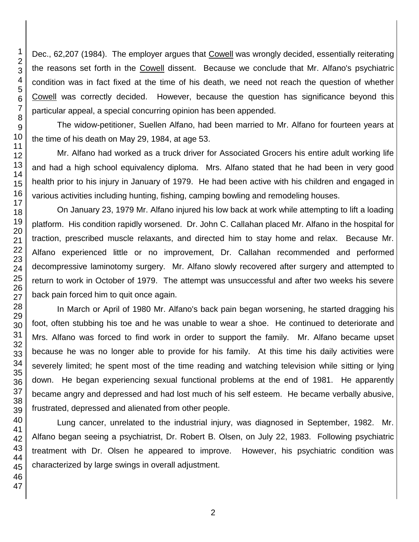Dec., 62,207 (1984). The employer argues that Cowell was wrongly decided, essentially reiterating the reasons set forth in the Cowell dissent. Because we conclude that Mr. Alfano's psychiatric condition was in fact fixed at the time of his death, we need not reach the question of whether Cowell was correctly decided. However, because the question has significance beyond this particular appeal, a special concurring opinion has been appended.

The widow-petitioner, Suellen Alfano, had been married to Mr. Alfano for fourteen years at the time of his death on May 29, 1984, at age 53.

Mr. Alfano had worked as a truck driver for Associated Grocers his entire adult working life and had a high school equivalency diploma. Mrs. Alfano stated that he had been in very good health prior to his injury in January of 1979. He had been active with his children and engaged in various activities including hunting, fishing, camping bowling and remodeling houses.

On January 23, 1979 Mr. Alfano injured his low back at work while attempting to lift a loading platform. His condition rapidly worsened. Dr. John C. Callahan placed Mr. Alfano in the hospital for traction, prescribed muscle relaxants, and directed him to stay home and relax. Because Mr. Alfano experienced little or no improvement, Dr. Callahan recommended and performed decompressive laminotomy surgery. Mr. Alfano slowly recovered after surgery and attempted to return to work in October of 1979. The attempt was unsuccessful and after two weeks his severe back pain forced him to quit once again.

In March or April of 1980 Mr. Alfano's back pain began worsening, he started dragging his foot, often stubbing his toe and he was unable to wear a shoe. He continued to deteriorate and Mrs. Alfano was forced to find work in order to support the family. Mr. Alfano became upset because he was no longer able to provide for his family. At this time his daily activities were severely limited; he spent most of the time reading and watching television while sitting or lying down. He began experiencing sexual functional problems at the end of 1981. He apparently became angry and depressed and had lost much of his self esteem. He became verbally abusive, frustrated, depressed and alienated from other people.

Lung cancer, unrelated to the industrial injury, was diagnosed in September, 1982. Mr. Alfano began seeing a psychiatrist, Dr. Robert B. Olsen, on July 22, 1983. Following psychiatric treatment with Dr. Olsen he appeared to improve. However, his psychiatric condition was characterized by large swings in overall adjustment.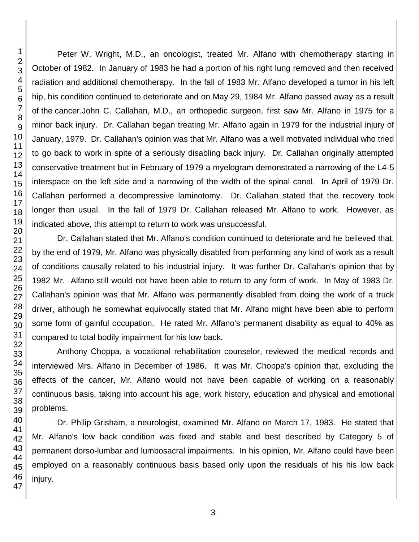Peter W. Wright, M.D., an oncologist, treated Mr. Alfano with chemotherapy starting in October of 1982. In January of 1983 he had a portion of his right lung removed and then received radiation and additional chemotherapy. In the fall of 1983 Mr. Alfano developed a tumor in his left hip, his condition continued to deteriorate and on May 29, 1984 Mr. Alfano passed away as a result of the cancer.John C. Callahan, M.D., an orthopedic surgeon, first saw Mr. Alfano in 1975 for a minor back injury. Dr. Callahan began treating Mr. Alfano again in 1979 for the industrial injury of January, 1979. Dr. Callahan's opinion was that Mr. Alfano was a well motivated individual who tried to go back to work in spite of a seriously disabling back injury. Dr. Callahan originally attempted conservative treatment but in February of 1979 a myelogram demonstrated a narrowing of the L4-5 interspace on the left side and a narrowing of the width of the spinal canal. In April of 1979 Dr. Callahan performed a decompressive laminotomy. Dr. Callahan stated that the recovery took longer than usual. In the fall of 1979 Dr. Callahan released Mr. Alfano to work. However, as indicated above, this attempt to return to work was unsuccessful.

Dr. Callahan stated that Mr. Alfano's condition continued to deteriorate and he believed that, by the end of 1979, Mr. Alfano was physically disabled from performing any kind of work as a result of conditions causally related to his industrial injury. It was further Dr. Callahan's opinion that by 1982 Mr. Alfano still would not have been able to return to any form of work. In May of 1983 Dr. Callahan's opinion was that Mr. Alfano was permanently disabled from doing the work of a truck driver, although he somewhat equivocally stated that Mr. Alfano might have been able to perform some form of gainful occupation. He rated Mr. Alfano's permanent disability as equal to 40% as compared to total bodily impairment for his low back.

Anthony Choppa, a vocational rehabilitation counselor, reviewed the medical records and interviewed Mrs. Alfano in December of 1986. It was Mr. Choppa's opinion that, excluding the effects of the cancer, Mr. Alfano would not have been capable of working on a reasonably continuous basis, taking into account his age, work history, education and physical and emotional problems.

Dr. Philip Grisham, a neurologist, examined Mr. Alfano on March 17, 1983. He stated that Mr. Alfano's low back condition was fixed and stable and best described by Category 5 of permanent dorso-lumbar and lumbosacral impairments. In his opinion, Mr. Alfano could have been employed on a reasonably continuous basis based only upon the residuals of his his low back injury.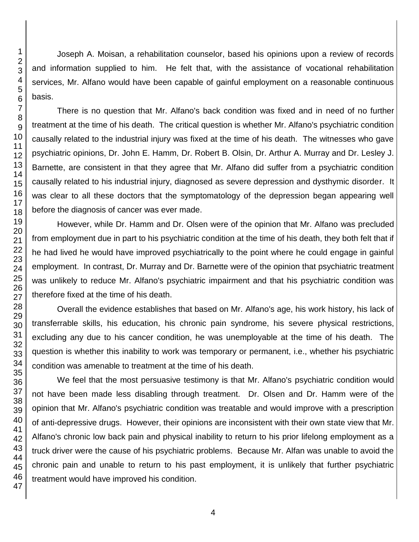Joseph A. Moisan, a rehabilitation counselor, based his opinions upon a review of records and information supplied to him. He felt that, with the assistance of vocational rehabilitation services, Mr. Alfano would have been capable of gainful employment on a reasonable continuous basis.

There is no question that Mr. Alfano's back condition was fixed and in need of no further treatment at the time of his death. The critical question is whether Mr. Alfano's psychiatric condition causally related to the industrial injury was fixed at the time of his death. The witnesses who gave psychiatric opinions, Dr. John E. Hamm, Dr. Robert B. Olsin, Dr. Arthur A. Murray and Dr. Lesley J. Barnette, are consistent in that they agree that Mr. Alfano did suffer from a psychiatric condition causally related to his industrial injury, diagnosed as severe depression and dysthymic disorder. It was clear to all these doctors that the symptomatology of the depression began appearing well before the diagnosis of cancer was ever made.

However, while Dr. Hamm and Dr. Olsen were of the opinion that Mr. Alfano was precluded from employment due in part to his psychiatric condition at the time of his death, they both felt that if he had lived he would have improved psychiatrically to the point where he could engage in gainful employment. In contrast, Dr. Murray and Dr. Barnette were of the opinion that psychiatric treatment was unlikely to reduce Mr. Alfano's psychiatric impairment and that his psychiatric condition was therefore fixed at the time of his death.

Overall the evidence establishes that based on Mr. Alfano's age, his work history, his lack of transferrable skills, his education, his chronic pain syndrome, his severe physical restrictions, excluding any due to his cancer condition, he was unemployable at the time of his death. The question is whether this inability to work was temporary or permanent, i.e., whether his psychiatric condition was amenable to treatment at the time of his death.

We feel that the most persuasive testimony is that Mr. Alfano's psychiatric condition would not have been made less disabling through treatment. Dr. Olsen and Dr. Hamm were of the opinion that Mr. Alfano's psychiatric condition was treatable and would improve with a prescription of anti-depressive drugs. However, their opinions are inconsistent with their own state view that Mr. Alfano's chronic low back pain and physical inability to return to his prior lifelong employment as a truck driver were the cause of his psychiatric problems. Because Mr. Alfan was unable to avoid the chronic pain and unable to return to his past employment, it is unlikely that further psychiatric treatment would have improved his condition.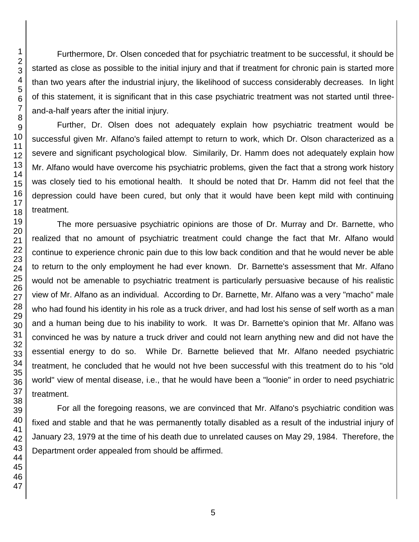Furthermore, Dr. Olsen conceded that for psychiatric treatment to be successful, it should be started as close as possible to the initial injury and that if treatment for chronic pain is started more than two years after the industrial injury, the likelihood of success considerably decreases. In light of this statement, it is significant that in this case psychiatric treatment was not started until threeand-a-half years after the initial injury.

Further, Dr. Olsen does not adequately explain how psychiatric treatment would be successful given Mr. Alfano's failed attempt to return to work, which Dr. Olson characterized as a severe and significant psychological blow. Similarily, Dr. Hamm does not adequately explain how Mr. Alfano would have overcome his psychiatric problems, given the fact that a strong work history was closely tied to his emotional health. It should be noted that Dr. Hamm did not feel that the depression could have been cured, but only that it would have been kept mild with continuing treatment.

The more persuasive psychiatric opinions are those of Dr. Murray and Dr. Barnette, who realized that no amount of psychiatric treatment could change the fact that Mr. Alfano would continue to experience chronic pain due to this low back condition and that he would never be able to return to the only employment he had ever known. Dr. Barnette's assessment that Mr. Alfano would not be amenable to psychiatric treatment is particularly persuasive because of his realistic view of Mr. Alfano as an individual. According to Dr. Barnette, Mr. Alfano was a very "macho" male who had found his identity in his role as a truck driver, and had lost his sense of self worth as a man and a human being due to his inability to work. It was Dr. Barnette's opinion that Mr. Alfano was convinced he was by nature a truck driver and could not learn anything new and did not have the essential energy to do so. While Dr. Barnette believed that Mr. Alfano needed psychiatric treatment, he concluded that he would not hve been successful with this treatment do to his "old world" view of mental disease, i.e., that he would have been a "loonie" in order to need psychiatric treatment.

For all the foregoing reasons, we are convinced that Mr. Alfano's psychiatric condition was fixed and stable and that he was permanently totally disabled as a result of the industrial injury of January 23, 1979 at the time of his death due to unrelated causes on May 29, 1984. Therefore, the Department order appealed from should be affirmed.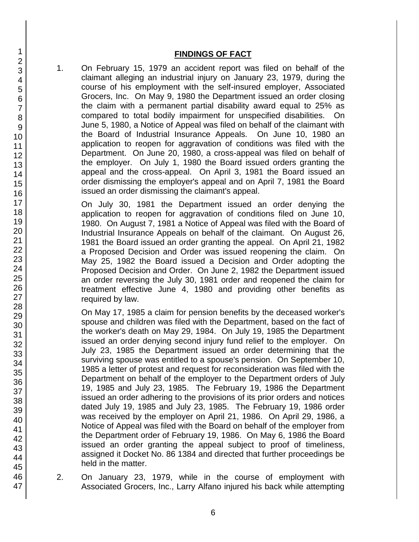#### **FINDINGS OF FACT**

1. On February 15, 1979 an accident report was filed on behalf of the claimant alleging an industrial injury on January 23, 1979, during the course of his employment with the self-insured employer, Associated Grocers, Inc. On May 9, 1980 the Department issued an order closing the claim with a permanent partial disability award equal to 25% as compared to total bodily impairment for unspecified disabilities. On June 5, 1980, a Notice of Appeal was filed on behalf of the claimant with the Board of Industrial Insurance Appeals. On June 10, 1980 an application to reopen for aggravation of conditions was filed with the Department. On June 20, 1980, a cross-appeal was filed on behalf of the employer. On July 1, 1980 the Board issued orders granting the appeal and the cross-appeal. On April 3, 1981 the Board issued an order dismissing the employer's appeal and on April 7, 1981 the Board issued an order dismissing the claimant's appeal.

On July 30, 1981 the Department issued an order denying the application to reopen for aggravation of conditions filed on June 10, 1980. On August 7, 1981 a Notice of Appeal was filed with the Board of Industrial Insurance Appeals on behalf of the claimant. On August 26, 1981 the Board issued an order granting the appeal. On April 21, 1982 a Proposed Decision and Order was issued reopening the claim. On May 25, 1982 the Board issued a Decision and Order adopting the Proposed Decision and Order. On June 2, 1982 the Department issued an order reversing the July 30, 1981 order and reopened the claim for treatment effective June 4, 1980 and providing other benefits as required by law.

On May 17, 1985 a claim for pension benefits by the deceased worker's spouse and children was filed with the Department, based on the fact of the worker's death on May 29, 1984. On July 19, 1985 the Department issued an order denying second injury fund relief to the employer. On July 23, 1985 the Department issued an order determining that the surviving spouse was entitled to a spouse's pension. On September 10, 1985 a letter of protest and request for reconsideration was filed with the Department on behalf of the employer to the Department orders of July 19, 1985 and July 23, 1985. The February 19, 1986 the Department issued an order adhering to the provisions of its prior orders and notices dated July 19, 1985 and July 23, 1985. The February 19, 1986 order was received by the employer on April 21, 1986. On April 29, 1986, a Notice of Appeal was filed with the Board on behalf of the employer from the Department order of February 19, 1986. On May 6, 1986 the Board issued an order granting the appeal subject to proof of timeliness, assigned it Docket No. 86 1384 and directed that further proceedings be held in the matter.

- 2. On January 23, 1979, while in the course of employment with Associated Grocers, Inc., Larry Alfano injured his back while attempting
- 1 2 3 4 5 6 7 8 9 10 11 12 13 14 15 16 17 18 19 20 21 22 23 24 25 26 27 28 29 30 31 32 33 34 35 36 37 38 39 40 41 42 43 44 45 46 47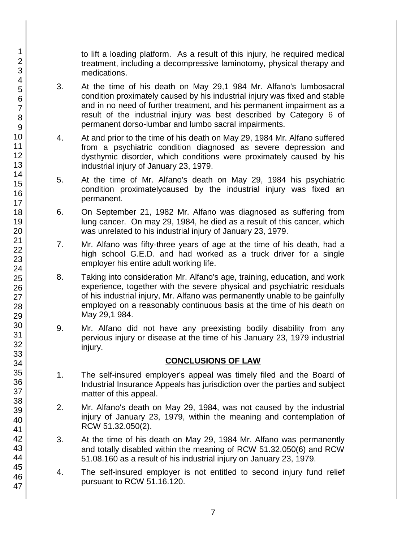to lift a loading platform. As a result of this injury, he required medical treatment, including a decompressive laminotomy, physical therapy and medications.

- 3. At the time of his death on May 29,1 984 Mr. Alfano's lumbosacral condition proximately caused by his industrial injury was fixed and stable and in no need of further treatment, and his permanent impairment as a result of the industrial injury was best described by Category 6 of permanent dorso-lumbar and lumbo sacral impairments.
- 4. At and prior to the time of his death on May 29, 1984 Mr. Alfano suffered from a psychiatric condition diagnosed as severe depression and dysthymic disorder, which conditions were proximately caused by his industrial injury of January 23, 1979.
- 5. At the time of Mr. Alfano's death on May 29, 1984 his psychiatric condition proximatelycaused by the industrial injury was fixed an permanent.
- 6. On September 21, 1982 Mr. Alfano was diagnosed as suffering from lung cancer. On may 29, 1984, he died as a result of this cancer, which was unrelated to his industrial injury of January 23, 1979.
- 7. Mr. Alfano was fifty-three years of age at the time of his death, had a high school G.E.D. and had worked as a truck driver for a single employer his entire adult working life.
- 8. Taking into consideration Mr. Alfano's age, training, education, and work experience, together with the severe physical and psychiatric residuals of his industrial injury, Mr. Alfano was permanently unable to be gainfully employed on a reasonably continuous basis at the time of his death on May 29,1 984.
- 9. Mr. Alfano did not have any preexisting bodily disability from any pervious injury or disease at the time of his January 23, 1979 industrial injury.

## **CONCLUSIONS OF LAW**

- 1. The self-insured employer's appeal was timely filed and the Board of Industrial Insurance Appeals has jurisdiction over the parties and subject matter of this appeal.
- 2. Mr. Alfano's death on May 29, 1984, was not caused by the industrial injury of January 23, 1979, within the meaning and contemplation of RCW 51.32.050(2).
- 3. At the time of his death on May 29, 1984 Mr. Alfano was permanently and totally disabled within the meaning of RCW 51.32.050(6) and RCW 51.08.160 as a result of his industrial injury on January 23, 1979.
- 4. The self-insured employer is not entitled to second injury fund relief pursuant to RCW 51.16.120.